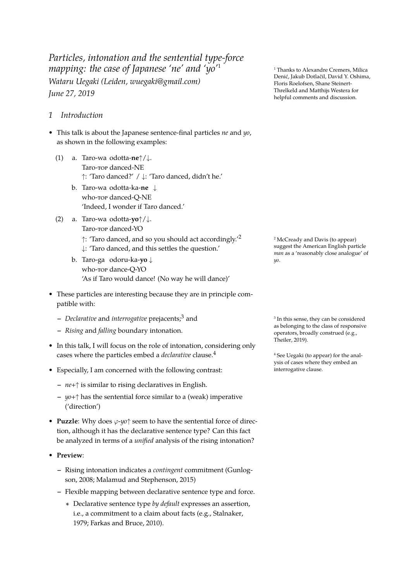*Particles, intonation and the sentential type-force mapping: the case of Japanese 'ne' and 'yo'*<sup>1</sup> <sup>1</sup> Thanks to Alexandre Cremers, Milica *Wataru Uegaki (Leiden, wuegaki@gmail.com) June 27, 2019*

- *1 Introduction*
- This talk is about the Japanese sentence-final particles *ne* and *yo*, as shown in the following examples:
	- (1) a. Taro-wa odotta-**ne***↑*/*↓*. Taro-top danced-NE *↑*: 'Taro danced?' / *↓*: 'Taro danced, didn't he.'
		- b. Taro-wa odotta-ka-**ne** *↓* who-top danced-Q-NE 'Indeed, I wonder if Taro danced.'
	- (2) a. Taro-wa odotta-**yo***↑*/*↓*. Taro-top danced-YO ↑: 'Taro danced, and so you should act accordingly.<sup>'2</sup> 2 McCready and Davis (to appear) *↓*: 'Taro danced, and this settles the question.' b. Taro-ga odoru-ka-**yo** *↓*
		- who-top dance-Q-YO 'As if Taro would dance! (No way he will dance)'
- These particles are interesting because they are in principle compatible with:
	- **–** *Declarative* and *interrogative* prejacents;<sup>3</sup> and <sup>3</sup>
	- **–** *Rising* and *falling* boundary intonation.
- In this talk, I will focus on the role of intonation, considering only cases where the particles embed a *declarative* clause.<sup>4</sup> end and the set Uegaki (to appear) for the anal-
- Especially, I am concerned with the following contrast: [interrogative](#page-14-0) clause.
	- **–** *ne*+*↑* is similar to rising declaratives in English.
	- **–** *yo*+*↑* has the sentential force similar to a (weak) imperative ('direction')
- **Puzzle**: Why does *φ*-*yo↑* seem to have the sentential force of direction, although it has the declarative sentence type? Can this fact be analyzed in terms of a *unified* analysis of the rising intonation?
- **Preview**:
	- **–** Rising intonation indicates a *contingent* commitment (Gunlogson, 2008; Malamud and Stephenson, 2015)
	- **–** Flexible mapping between declarative sentence type and force.
		- ∗ Declarative sentence type *by default* expresses an as[sertion,](#page-13-0) [i.e., a c](#page-13-0)[ommitment to a claim about facts](#page-13-1) (e.g., Stalnaker, 1979; Farkas and Bruce, 2010).

Denić, Jakub Dotlačil, David Y. Oshima, Floris Roelofsen, Shane Steinert-Threlkeld and Matthijs Westera for helpful comments and discussion.

suggest the American English particle *man* as a 'reasonably close analogue' of *yo*.

 $3$  In this sense, they can be considered as belonging to the class of responsive operators, broadly construed (e.g., Theiler, 2019).

ysis of cases where they embed an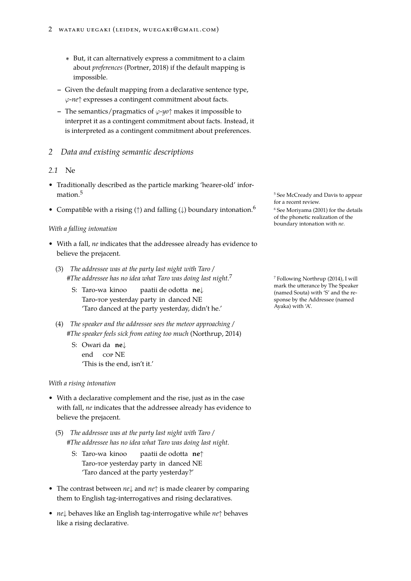- ∗ But, it can alternatively express a commitment to a claim about *preferences* (Portner, 2018) if the default mapping is impossible.
- **–** Given the default mapping from a declarative sentence type, *φ*-*ne↑* expresses a co[ntingen](#page-14-1)t [comm](#page-14-1)itment about facts.
- **–** The semantics/pragmatics of *φ*-*yo↑* makes it impossible to interpret it as a contingent commitment about facts. Instead, it is interpreted as a contingent commitment about preferences.

# *2 Data and existing semantic descriptions*

# *2.1* Ne

- Traditionally described as the particle marking 'hearer-old' information.<sup>5</sup> See McCready and Davis to appear
- Compatible with a rising (†) and falling (↓) boundary intonation.<sup>6</sup> 6 See Moriyama (2001) for the details

## *With a falling intonation*

- With a fall, *ne* indicates that the addressee already has evidence to believe the prejacent.
	- (3) *The addressee was at the party last night with Taro / #The addressee has no idea what Taro was doing last night.*<sup>7</sup> <sup>7</sup> Following Northrup (2014), I will
		- S: Taro-wa kinoo Taro-top yesterday party in danced NE paatii de odotta **ne***↓* 'Taro danced at the party yesterday, didn't he.'
	- (4) *The speaker and the addressee sees the meteor approaching / #The speaker feels sick from eating too much* (Northrup, 2014)
		- S: Owari da **ne***↓* end cop NE 'This is the end, isn't it.'

## *With a rising intonation*

- With a declarative complement and the rise, just as in the case with fall, *ne* indicates that the addressee already has evidence to believe the prejacent.
	- (5) *The addressee was at the party last night with Taro / #The addressee has no idea what Taro was doing last night.*
		- S: Taro-wa kinoo Taro-top yesterday party in danced NE paatii de odotta **ne***↑* 'Taro danced at the party yesterday?'
- The contrast between *ne↓* and *ne↑* is made clearer by comparing them to English tag-interrogatives and rising declaratives.
- *ne↓* behaves like an English tag-interrogative while *ne↑* behaves like a rising declarative.

for a recent review.

of the phonetic realization of the bou[ndary intonation with](#page-14-2) *[ne](#page-14-2)*.

mark the utterance by The Speaker (named Souta) with 'S' and the response by the Addressee (named Ayaka) wit[h 'A'.](#page-14-3)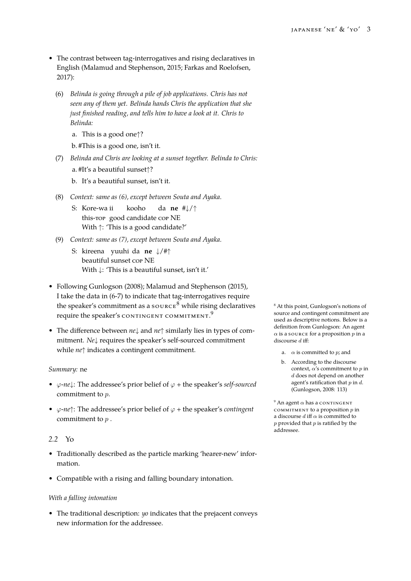- <span id="page-2-0"></span>• The contrast between tag-interrogatives and rising declaratives in English (Malamud and Stephenson, 2015; Farkas and Roelofsen, 2017):
	- (6) *Belinda is going through a pile of job applications. Chris has not seen [any of them yet. Belinda hands Chr](#page-13-1)i[s the application that she](#page-13-2) [j](#page-13-2)ust finished reading, and tells him to have a look at it. Chris to Belinda:*
		- a. This is a good one*↑*?
		- b. #This is a good one, isn't it.
	- (7) *Belinda and Chris are looking at a sunset together. Belinda to Chris:*
		- a. #It's a beautiful sunset*↑*?
		- b. It's a beautiful sunset, isn't it.
	- (8) *Context: same as (6), except between Souta and Ayaka.*
		- S: Kore-wa ii this-top good candidate cor NE kooho da **ne** #*↓*/*↑* With *↑*: 'This [is](#page-2-0) a good candidate?'
	- (9) *Context: same as (7), except between Souta and Ayaka.*
		- S: kireena yuuhi da **ne** *↓*/#*↑* beautiful sunset cop NE With *↓*: 'This [is](#page-2-1) a beautiful sunset, isn't it.'
- <span id="page-2-1"></span>• Following Gunlogson (2008); Malamud and Stephenson (2015), I take the data in (6-7) to indicate that tag-interrogatives require the speaker's commitment as a source  $8$  while rising declaratives  $8$  At this point, Gunlogson's notions of require th[e speaker's](#page-13-0) c[onti](#page-13-0)n[gent commitment.](#page-13-1)<sup>9</sup>
- The difference bet[w](#page-2-0)[ee](#page-2-1)n *ne↓* and *ne↑* similarly lies in types of commitment. *Ne↓* requires the speaker's self-sourced commitment while *ne↑* indicates a contingent commitment.

### *Summary:* ne

- *φ*-*ne↓*: The addressee's prior belief of *φ* + the speaker's *self-sourced* commitment to *p*.
- *φ*-*ne↑*: The addressee's prior belief of *φ* + the speaker's *contingent* commitment to *p* .

### *2.2* Yo

- Traditionally described as the particle marking 'hearer-new' information.
- Compatible with a rising and falling boundary intonation.

### *With a falling intonation*

• The traditional description: *yo* indicates that the prejacent conveys new information for the addressee.

source and contingent commitment are used as descriptive notions. Below is a definition from Gunlogson: An agent *α* is a source for a proposition *p* in a discourse *d* iff:

- a.  $\alpha$  is committed to *p*; and
- b. According to the discourse context, *α*'s commitment to *p* in *d* does not depend on another agent's ratification that *p* in *d*. (Gunlogson, 2008: 113)

 $9$  An agent  $\alpha$  has a contingent commitment to a proposition *p* in a discourse  $d$  iff  $\alpha$  is committed to *p* provi[ded that](#page-13-0) *p* is [ratifi](#page-13-0)ed by the addressee.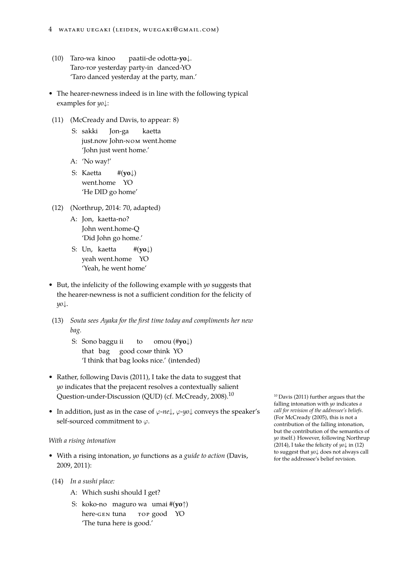- (10) Taro-wa kinoo Taro-top yesterday party-in danced-YO paatii-de odotta-**yo***↓*. 'Taro danced yesterday at the party, man.'
- The hearer-newness indeed is in line with the following typical examples for *yo↓*:
- (11) (McCready and Davis, to appear: 8)
	- S: sakki just.now John-nom went.home Jon-ga kaetta ['John just went home.'](#page-14-2)
	- A: 'No way!'
	- S: Kaetta went.home YO #(**yo***↓*) 'He DID go home'
- (12) (Northrup, 2014: 70, adapted)
	- A: Jon, kaetta-no? John went.home-Q ['Did John go](#page-14-3) home.'
	- S: Un, kaetta yeah went.home YO #(**yo***↓*) 'Yeah, he went home'
- But, the infelicity of the following example with *yo* suggests that the hearer-newness is not a sufficient condition for the felicity of *yo↓*.
- (13) *Souta sees Ayaka for the first time today and compliments her new bag.*
	- S: Sono baggu ii that bag good comp think YO to omou (#**yo***↓*) 'I think that bag looks nice.' (intended)
- Rather, following Davis (2011), I take the data to suggest that *yo* indicates that the prejacent resolves a contextually salient Question-under-Discussion (QUD) (cf. McCready, 2008).<sup>10</sup>  $10$  Davis (2011) further argues that the
- In addition, just a[s in th](#page-13-3)e [case](#page-13-3) of *φ*-*ne↓*, *φ*-*yo↓* conveys the speaker's self-sourced commitment to *φ*.

### *With a rising intonation*

- With a rising intonation, *yo* functions as a *guide to action* (Davis, 2009, 2011):
- (14) *In a sushi place:*
	- [A](#page-13-4): Which sushi should I get?
	- S: [ko](#page-13-3)ko-no maguro wa umai #(**yo***↑*) here-gen tuna top good YO 'The tuna here is good.'

falling intonation with *yo* indicates *a call for revision of the addressee's beliefs*. (For McCready (2005), this is not a contribution of the falling intonation, b[ut the contri](#page-13-3)bution of the semantics of *yo* itself.) However, following Northrup (2014), I take the felicity of *yo↓* in (12) to s[uggest that](#page-14-4) *yo↓* [do](#page-14-4)es not always call for the addressee's belief revision.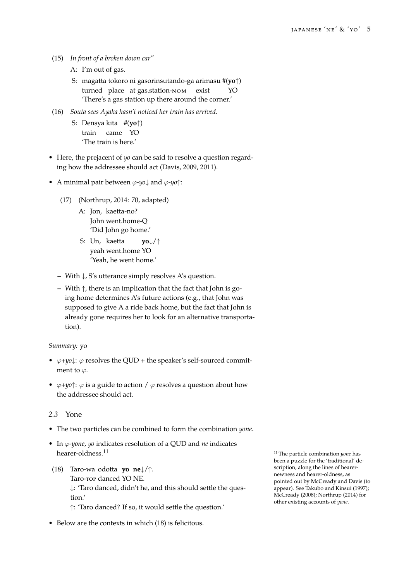- (15) *In front of a broken down car"*
	- A: I'm out of gas.
	- S: magatta tokoro ni gasorinsutando-ga arimasu #(**yo***↑*) turned place at gas.station-nom exist YO 'There's a gas station up there around the corner.'
- (16) *Souta sees Ayaka hasn't noticed her train has arrived.*
	- S: Densya kita #(**yo***↑*) train came YO 'The train is here.'
- Here, the prejacent of *yo* can be said to resolve a question regarding how the addressee should act (Davis, 2009, 2011).
- A minimal pair between *φ*-*yo↓* and *φ*-*yo↑*:
	- (17) (Northrup, 2014: 70, adapt[ed\)](#page-13-4)
		- A: Jon, kaetta-no? John went.home-Q ['Did John go](#page-14-3) home.'
		- S: Un, kaetta yeah went.home YO **yo***↓*/*↑* 'Yeah, he went home.'
	- **–** With *↓*, S's utterance simply resolves A's question.
	- **–** With *↑*, there is an implication that the fact that John is going home determines A's future actions (e.g., that John was supposed to give A a ride back home, but the fact that John is already gone requires her to look for an alternative transportation).

### *Summary:* yo

- *φ*+*yo↓*: *φ* resolves the QUD + the speaker's self-sourced commitment to *φ*.
- $\varphi + \psi \varphi$ :  $\varphi$  is a guide to action /  $\varphi$  resolves a question about how the addressee should act.

## *2.3* Yone

- The two particles can be combined to form the combination *yone*.
- In *φ*-*yone*, *yo* indicates resolution of a QUD and *ne* indicates **hearer-oldness.**<sup>11</sup> The particle combination *yone* has
- (18) Taro-wa odotta **yo ne***↓*/*↑*. Taro-top danced YO NE. *↓*: 'Taro danced, didn't he, and this should settle the question.' *↑*: 'Taro danced? If so, it would settle the question.'
- Below are the contexts in which (18) is felicitous.

been a puzzle for the 'traditional' description, along the lines of hearernewness and hearer-oldness, as pointed out by McCready and Davis (to appear). See Takubo and Kinsui (1997); McCready (2008); Northrup (2014) for other existing accounts of *yone*.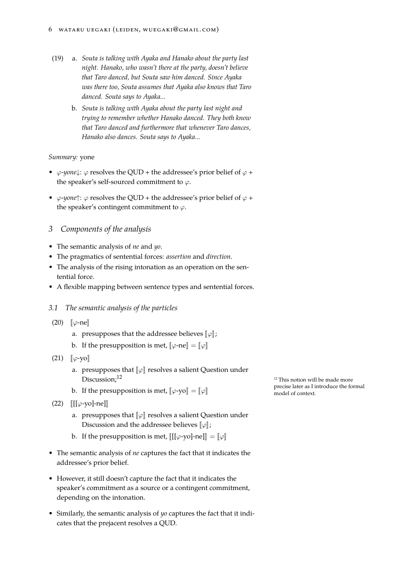- (19) a. *Souta is talking with Ayaka and Hanako about the party last night. Hanako, who wasn't there at the party, doesn't believe that Taro danced, but Souta saw him danced. Since Ayaka was there too, Souta assumes that Ayaka also knows that Taro danced. Souta says to Ayaka...*
	- b. *Souta is talking with Ayaka about the party last night and trying to remember whether Hanako danced. They both know that Taro danced and furthermore that whenever Taro dances, Hanako also dances. Souta says to Ayaka...*

### *Summary:* yone

- *φ*-*yone* $\downarrow$ :  $\varphi$  resolves the QUD + the addressee's prior belief of  $\varphi$  + the speaker's self-sourced commitment to *φ*.
- *φ*-*yone*†:  $\varphi$  resolves the QUD + the addressee's prior belief of  $\varphi$  + the speaker's contingent commitment to *φ*.

# *3 Components of the analysis*

- The semantic analysis of *ne* and *yo*.
- The pragmatics of sentential forces: *assertion* and *direction*.
- The analysis of the rising intonation as an operation on the sentential force.
- A flexible mapping between sentence types and sentential forces.

### *3.1 The semantic analysis of the particles*

- (20)  $\llbracket \varphi$ -ne
	- a. presupposes that the addressee believes  $\llbracket \varphi \rrbracket$ ;
	- b. If the presupposition is met,  $\llbracket \varphi \text{-ne} \rrbracket = \llbracket \varphi \rrbracket$
- (21)  $\llbracket \varphi\text{-yo}\rrbracket$ 
	- a. presupposes that  $\llbracket \varphi \rrbracket$  resolves a salient Question under Discussion;  $^{12}$
	- b. If the presupposition is met,  $[\varphi$ -yo $] = [\varphi]$  from the presupposition is met,  $[\varphi$ -yo $] = [\varphi]$
- (22) **[[**[*φ*-yo]-ne]]
	- a. presupposes that  $\llbracket \varphi \rrbracket$  resolves a salient Question under Discussion and the addressee believes  $\llbracket \varphi \rrbracket$ ;
	- b. If the presupposition is met,  $\llbracket [\varphi \mathrm{yo}] \mathrm{ne} \rrbracket = \llbracket \varphi \rrbracket$
- The semantic analysis of *ne* captures the fact that it indicates the addressee's prior belief.
- However, it still doesn't capture the fact that it indicates the speaker's commitment as a source or a contingent commitment, depending on the intonation.
- Similarly, the semantic analysis of *yo* captures the fact that it indicates that the prejacent resolves a QUD.

<sup>12</sup> This notion will be made more precise later as I introduce the formal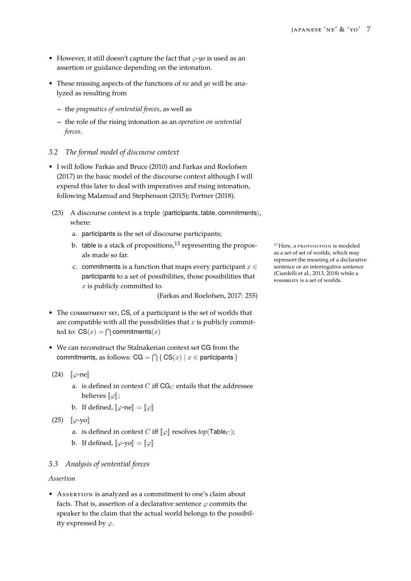- However, it still doesn't capture the fact that *φ*-*yo* is used as an assertion or guidance depending on the intonation.
- These missing aspects of the functions of *ne* and *yo* will be analyzed as resulting from
	- **–** the *pragmatics of sentential forces*, as well as
	- **–** the role of the rising intonation as an *operation on sentential forces*.

# *3.2 The formal model of discourse context*

- I will follow Farkas and Bruce (2010) and Farkas and Roelofsen (2017) in the basic model of the discourse context although I will expend this later to deal with imperatives and rising intonation, following M[alamud and Stephenson](#page-13-5) (2015); [Portner](#page-13-2) (2018).
- (2[3\)](#page-13-2) A discourse context is a triple *⟨*participants*,* table*,* commitments*⟩*, where:
	- a. participants [is the set of discourse p](#page-13-1)[articipan](#page-14-1)t[s;](#page-14-1)
	- b. table is a stack of propositions,  $^{13}$  representing the propos-  $^{13}$  Here, a proposition is modeled als made so far.
	- c. commitments is a function that maps every participant *x ∈* participants to a set of possibilities, those possibilities that *x* is publicly committed to.

(Farkas and Roelofsen, 2017: 255)

- The COMMITMENT SET, CS, of a participant is the set of worlds that are compatible with all the possib[ilities that](#page-13-2) *x* is publicl[y com](#page-13-2)mitted to:  $CS(x) = \bigcap$  commitments $(x)$
- We can reconstruct the Stalnakerian context set CG from the  ${\rm commitments, as follows: CG = \bigcap \{ CS(x) \mid x \in \text{participants} \}}$
- $(24)$   $\lbrack \lbrack \varphi$ -ne $\rbrack$ 
	- a. is defined in context  $C$  iff  $CG_C$  entails that the addressee **believes** [*φ*];
	- b. If defined,  $[\varphi$ -ne $] = [\varphi]$
- $(25)$   $\lbrack \lbrack \varphi$ -yo
	- a. is defined in context *C* iff  $\llbracket \varphi \rrbracket$  resolves  $top(\textsf{Table}_C)$ ;
	- b. If defined,  $\llbracket \varphi$ -yo $\rrbracket = \llbracket \varphi \rrbracket$

# *3.3 Analysis of sentential forces*

## *Assertion*

• Assertion is analyzed as a commitment to one's claim about facts. That is, assertion of a declarative sentence  $\varphi$  commits the speaker to the claim that the actual world belongs to the possibility expressed by *φ*.

as a set of set of worlds, which may represent the meaning of a declarative sentence or an interrogative sentence (Ciardelli et al., 2013, 2018) while a possibility is a set of worlds.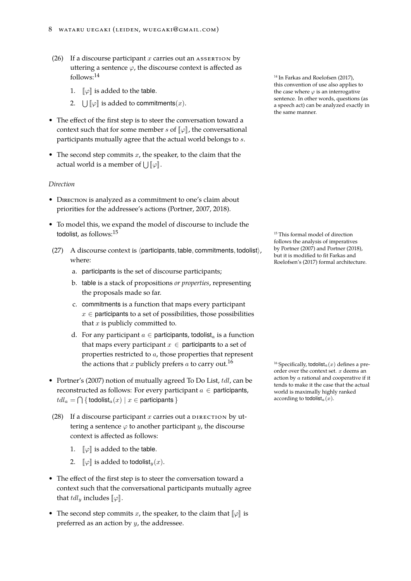- (26) If a discourse participant *x* carries out an assertion by uttering a sentence  $\varphi$ , the discourse context is affected as follows: $^{14}$  In Farkas and Roelofsen (2017),
	- 1.  $\lbrack \lbrack \varphi \rbrack$  is added to the table.
	- 2.  $\bigcup [\![\varphi]\!]$  is added to commitments $(x)$ .
- <span id="page-7-0"></span>• The effect of the first step is to steer the conversation toward a context such that for some member *s* of  $\llbracket \varphi \rrbracket$ , the conversational participants mutually agree that the actual world belongs to *s*.
- The second step commits *x*, the speaker, to the claim that the **actual world is a member of**  $\bigcup [\varphi]$ **.**

## *Direction*

- DIRECTION is analyzed as a commitment to one's claim about priorities for the addressee's actions (Portner, 2007, 2018).
- To model this, we expand the model of discourse to include the todolist, as follows: $15$  15 This formal model of direction
- (27) A discourse context is *⟨*participants*,* [table](#page-14-5)*,* [comm](#page-14-5)[itmen](#page-14-1)ts*,* todolist*⟩*, where:
	- a. participants is the set of discourse participants;
	- b. table is a stack of propositions *or properties*, representing the proposals made so far.
	- c. commitments is a function that maps every participant *x ∈* participants to a set of possibilities, those possibilities that *x* is publicly committed to.
	- d. For any participant  $a \in$  participants, todolist<sub>a</sub> is a function that maps every participant  $x \in$  participants to a set of properties restricted to *a*, those properties that represent the actions that *x* publicly prefers *a* to carry out.<sup>16</sup> <sup>16</sup> Specifically, todolist<sub>a</sub>(*x*) defines a pre-
- Portner's (2007) notion of mutually agreed To Do List, *tdl*, can be reconstructed as follows: For every participant *a ∈* participants,  $tdl_a = \bigcap$  { todolist<sub>a</sub> $(x) | x \in$  participants }
- (28) [If a](#page-14-5) d[iscou](#page-14-5)rse participant  $x$  carries out a  $\rho$ IRECTION by uttering a sentence  $\varphi$  to another participant *y*, the discourse context is affected as follows:
	- 1.  $\lbrack \lbrack \varphi \rbrack$  is added to the table.
	- 2.  $\llbracket \varphi \rrbracket$  is added to todolist<sub>*y*</sub>(*x*).
- The effect of the first step is to steer the conversation toward a context such that the conversational participants mutually agree that  $tdl_y$  includes  $\llbracket \varphi \rrbracket$ .
- The second step commits *x*, the speaker, to the claim that  $\llbracket \varphi \rrbracket$  is preferred as an action by *y*, the addressee.

this convention of use also applies to the case where  $\varphi$  is an interrogative sentence. In other words, questions (as a speech act) can be analyz[ed ex](#page-13-2)actly in the [same manner.](#page-13-2)

follows the analysis of imperatives by Portner (2007) and Portner (2018), but it is modified to fit Farkas and Roelofsen's (2017) formal architecture.

order over the context set. *x* deems an action by *a* rational and cooperative if it tends to make it the case that the actual world is maximally highly ranked according to todolist<sub>a</sub> $(x)$ .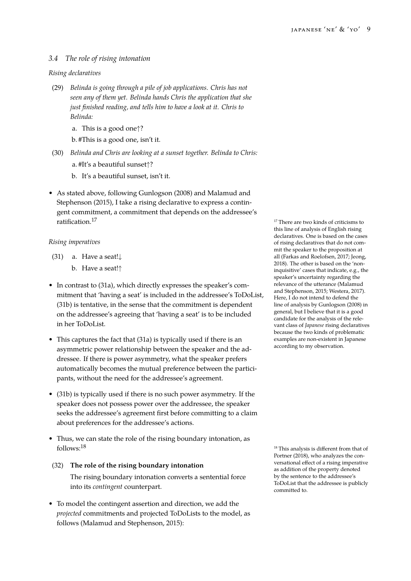# *3.4 The role of rising intonation*

### *Rising declaratives*

(29) *Belinda is going through a pile of job applications. Chris has not seen any of them yet. Belinda hands Chris the application that she just finished reading, and tells him to have a look at it. Chris to Belinda:*

a. This is a good one*↑*?

b. #This is a good one, isn't it.

- (30) *Belinda and Chris are looking at a sunset together. Belinda to Chris:* a. #It's a beautiful sunset*↑*?
	- b. It's a beautiful sunset, isn't it.
- As stated above, following Gunlogson (2008) and Malamud and Stephenson (2015), I take a rising declarative to express a contingent commitment, a commitment that depends on the addressee's ratification.<sup>17</sup> There are two kinds of criticisms to

# *Ri[sing imperatives](#page-13-1)*

- (31) a. Have a seat!*↓*
	- b. Have a seat!*↑*
- <span id="page-8-1"></span><span id="page-8-0"></span>• In contrast to (31a), which directly expresses the speaker's commitment that 'having a seat' is included in the addressee's ToDoList, (31b) is tentative, in the sense that the commitment is dependent on the addres[see's](#page-8-0) agreeing that 'having a seat' is to be included in her ToDoList.
- [This](#page-8-1) captures the fact that (31a) is typically used if there is an asymmetric power relationship between the speaker and the addressee. If there is power asymmetry, what the speaker prefers automatically becomes the [mut](#page-8-0)ual preference between the participants, without the need for the addressee's agreement.
- (31b) is typically used if there is no such power asymmetry. If the speaker does not possess power over the addressee, the speaker seeks the addressee's agreement first before committing to a claim [abou](#page-8-1)t preferences for the addressee's actions.
- Thus, we can state the role of the rising boundary intonation, as follows: $^{18}$  This analysis is different from that of
- (32) **The role of the rising boundary intonation** The rising boundary intonation converts a sentential force into its *contingent* counterpart.
- To model the contingent assertion and direction, we add the *projected* commitments and projected ToDoLists to the model, as follows (Malamud and Stephenson, 2015):

this line of analysis of English rising declaratives. One is based on the cases of rising declaratives that do not commit the speaker to the proposition at all (Farkas and Roelofsen, 2017; Jeong, 2018). The other is based on the 'noninquisitive' cases that indicate, e.g., the speaker's uncertainty regarding the relevance of the utterance (Malamud an[d Stephenson,](#page-13-2) 2015; We[stera,](#page-13-2) [2017\).](#page-13-6) [Here](#page-13-6), I do not intend to defend the line of analysis by Gunlogson (2008) in general, but I believe that it is a good candidate for the analysis [of the rele](#page-13-1)[vant class of](#page-13-1) *Japa[nese](#page-13-1)* ri[sing dec](#page-14-6)l[arativ](#page-14-6)es because the two kinds of problematic examples are non-existent in Japanese according to my observation.

Portner (2018), who analyzes the conversational effect of a rising imperative as addition of the property denoted by the sentence to the addressee's ToDoList that the addressee is publicly [commit](#page-14-1)t[ed to.](#page-14-1)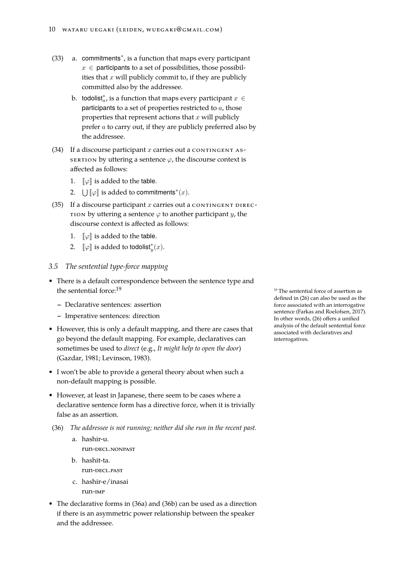- (33) a. commitments*<sup>∗</sup>* , is a function that maps every participant  $x \in$  participants to a set of possibilities, those possibilities that *x* will publicly commit to, if they are publicly committed also by the addressee.
	- $\mathbf b.$  todolist $_{a}^*$ , is a function that maps every participant  $x\in\mathbf b$ participants to a set of properties restricted to *a*, those properties that represent actions that *x* will publicly prefer *a* to carry out, if they are publicly preferred also by the addressee.
- (34) If a discourse participant  $x$  carries out a contingent as-SERTION by uttering a sentence  $\varphi$ , the discourse context is affected as follows:
	- 1.  $\llbracket \varphi \rrbracket$  is added to the table.
	- 2.  $\bigcup [\![\varphi]\!]$  is added to commitments<sup>\*</sup> $(x)$ .
- (35) If a discourse participant  $x$  carries out a contingent direc-TION by uttering a sentence  $\varphi$  to another participant *y*, the discourse context is affected as follows:
	- 1.  $\llbracket \varphi \rrbracket$  is added to the table.
	- 2.  $\llbracket \varphi \rrbracket$  is added to todolist $^*_y(x)$ .
- *3.5 The sentential type-force mapping*
- There is a default correspondence between the sentence type and the sentential force: $19$  The sentential force of assertion as
	- **–** Declarative sentences: assertion
	- **–** Imperative sentences: direction
- However, this is only a default mapping, and there are cases that go beyond the default mapping. For example, declaratives can sometimes be used to *direct* (e.g., *It might help to open the door*) (Gazdar, 1981; Levinson, 1983).
- I won't be able to provide a general theory about when such a non-default mapping is possible.
- [Howeve](#page-13-7)r[, at le](#page-13-7)[ast in Japanese,](#page-13-8) there seem to be cases where a declarative sentence form has a directive force, when it is trivially false as an assertion.
- (36) *The addressee is not running; neither did she run in the recent past.*
	- a. hashir-u.
		- run-decl.nonpast
	- b. hashit-ta. run-decl.past
	- c. hashir-e/inasai
		- run-imp
- The declarative forms in (36a) and (36b) can be used as a direction if there is an asymmetric power relationship between the speaker and the addressee.

defined in (26) can also be used as the force associated with an interrogative sentence (Farkas and Roelofsen, 2017). In other words, (26) offers a unified analysis of the default sentential force associated [wit](#page-7-0)h declaratives and interrogat[ives.](#page-13-2)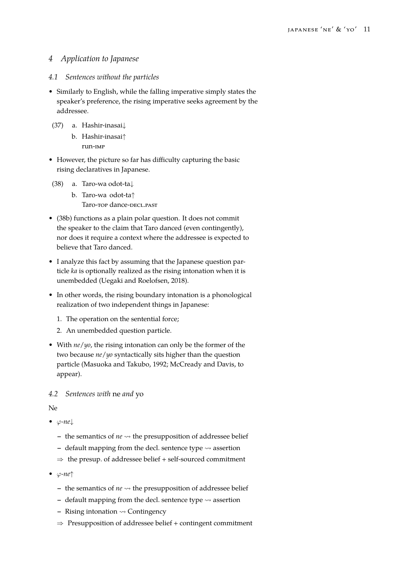# *4 Application to Japanese*

## *4.1 Sentences without the particles*

- Similarly to English, while the falling imperative simply states the speaker's preference, the rising imperative seeks agreement by the addressee.
- (37) a. Hashir-inasai*↓*
	- b. Hashir-inasai*↑* run-imp
- However, the picture so far has difficulty capturing the basic rising declaratives in Japanese.
- (38) a. Taro-wa odot-ta*↓*
	- b. Taro-wa odot-ta*↑* Taro-top dance-decl.past
- <span id="page-10-0"></span>• (38b) functions as a plain polar question. It does not commit the speaker to the claim that Taro danced (even contingently), nor does it require a context where the addressee is expected to [belie](#page-10-0)ve that Taro danced.
- I analyze this fact by assuming that the Japanese question particle *ka* is optionally realized as the rising intonation when it is unembedded (Uegaki and Roelofsen, 2018).
- In other words, the rising boundary intonation is a phonological realization of two independent things in Japanese:
	- 1. The operati[on on the sentential fo](#page-14-7)r[ce;](#page-14-7)
	- 2. An unembedded question particle.
- With *ne*/*yo*, the rising intonation can only be the former of the two because *ne*/*yo* syntactically sits higher than the question particle (Masuoka and Takubo, 1992; McCready and Davis, to appear).

## *4.2 Sente[nces with](#page-14-8)* ne *and* yo

N[e](#page-14-2)

- *φ-ne↓*
	- **–** the semantics of *ne* ⇝ the presupposition of addressee belief
	- **–** default mapping from the decl. sentence type ⇝ assertion
	- *⇒* the presup. of addressee belief + self-sourced commitment
- *φ-ne↑*
	- **–** the semantics of *ne* ⇝ the presupposition of addressee belief
	- **–** default mapping from the decl. sentence type ⇝ assertion
	- **–** Rising intonation ⇝ Contingency
	- *⇒* Presupposition of addressee belief + contingent commitment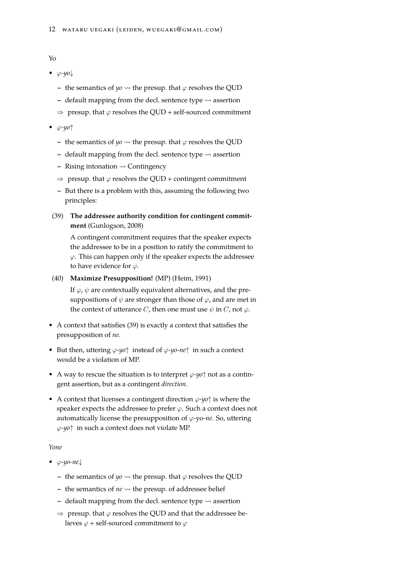- *φ-yo↓*
	- **–** the semantics of  $y_0 \rightarrow$  the presup. that  $\varphi$  resolves the QUD
	- **–** default mapping from the decl. sentence type ⇝ assertion
	- *⇒* presup. that *φ* resolves the QUD + self-sourced commitment
- *φ-yo↑*
	- **–** the semantics of  $y_0 \rightarrow$  the presup. that  $\varphi$  resolves the QUD
	- **–** default mapping from the decl. sentence type ⇝ assertion
	- **–** Rising intonation ⇝ Contingency
	- *⇒* presup. that *φ* resolves the QUD + contingent commitment
	- **–** But there is a problem with this, assuming the following two principles:
- (39) **The addressee authority condition for contingent commitment** (Gunlogson, 2008)

<span id="page-11-0"></span>A contingent commitment requires that the speaker expects the addressee to be in a position to ratify the commitment to *φ*. Thi[s can happen only](#page-13-0) if the speaker expects the addressee to have evidence for  $\varphi$ .

(40) **Maximize Presupposition!** (MP) (Heim, 1991)

If  $\varphi$ ,  $\psi$  are contextually equivalent alternatives, and the presuppositions of *ψ* are stronger than those of *φ*, and are met in the context of utterance *C*, then o[ne must use](#page-13-9)  $\psi$  in *C*, not  $\varphi$ .

- A context that satisfies (39) is exactly a context that satisfies the presupposition of *ne*.
- But then, uttering *φ-yo↑* instead of *φ-yo-ne↑* in such a context would be a violation of [MP](#page-11-0).
- A way to rescue the situation is to interpret *φ-yo↑* not as a contingent assertion, but as a contingent *direction*.
- A context that licenses a contingent direction *φ*-*yo↑* is where the speaker expects the addressee to prefer *φ*. Such a context does not automatically license the presupposition of *φ-*yo*-ne*. So, uttering *φ-yo↑* in such a context does not violate MP.

## *Yone*

- *φ*-*yo-ne↓*
	- **–** the semantics of  $y_0 \rightarrow$  the presup. that  $\varphi$  resolves the QUD
	- **–** the semantics of *ne* ⇝ the presup. of addressee belief
	- **–** default mapping from the decl. sentence type ⇝ assertion
	- *⇒* presup. that *φ* resolves the QUD and that the addressee believes *φ* + self-sourced commitment to *φ*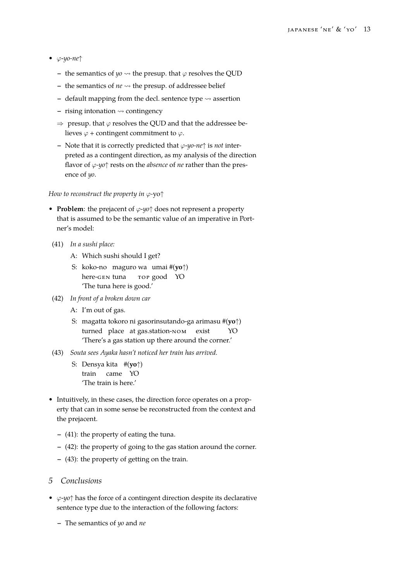- *φ*-*yo-ne↑*
	- **–** the semantics of  $\psi$ <sup>0</sup>  $\rightsquigarrow$  the presup. that  $\varphi$  resolves the QUD
	- **–** the semantics of *ne* ⇝ the presup. of addressee belief
	- **–** default mapping from the decl. sentence type ⇝ assertion
	- **–** rising intonation ⇝ contingency
	- *⇒* presup. that *φ* resolves the QUD and that the addressee believes  $\varphi$  + contingent commitment to  $\varphi$ .
	- **–** Note that it is correctly predicted that *φ*-*yo-ne↑* is *not* interpreted as a contingent direction, as my analysis of the direction flavor of *φ-yo↑* rests on the *absence* of *ne* rather than the presence of *yo*.

### *How to reconstruct the property in φ-*yo*↑*

- **Problem**: the prejacent of *φ*-*yo↑* does not represent a property that is assumed to be the semantic value of an imperative in Portner's model:
- (41) *In a sushi place:*
	- A: Which sushi should I get?
	- S: koko-no maguro wa umai #(**yo***↑*) here-gen tuna top good YO 'The tuna here is good.'
- (42) *In front of a broken down car*
	- A: I'm out of gas.
	- S: magatta tokoro ni gasorinsutando-ga arimasu #(**yo***↑*) turned place at gas.station-nom exist YO 'There's a gas station up there around the corner.'
- <span id="page-12-0"></span>(43) *Souta sees Ayaka hasn't noticed her train has arrived.*
	- S: Densya kita #(**yo***↑*) train came YO 'The train is here.'
- <span id="page-12-1"></span>• Intuitively, in these cases, the direction force operates on a property that can in some sense be reconstructed from the context and the prejacent.
	- **–** (41): the property of eating the tuna.
	- **–** (42): the property of going to the gas station around the corner.
	- **–** (43): the property of getting on the train.

### *5 C[on](#page-12-0)clusions*

- *φ*-*yo[↑](#page-12-1)* has the force of a contingent direction despite its declarative sentence type due to the interaction of the following factors:
	- **–** The semantics of *yo* and *ne*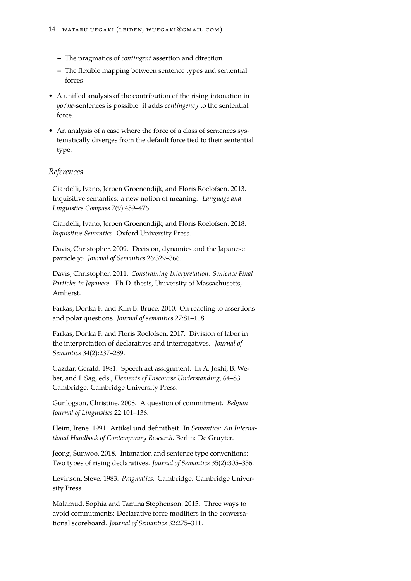- **–** The pragmatics of *contingent* assertion and direction
- **–** The flexible mapping between sentence types and sentential forces
- A unified analysis of the contribution of the rising intonation in *yo*/*ne*-sentences is possible: it adds *contingency* to the sentential force.
- An analysis of a case where the force of a class of sentences systematically diverges from the default force tied to their sentential type.

# *References*

Ciardelli, Ivano, Jeroen Groenendijk, and Floris Roelofsen. 2013. Inquisitive semantics: a new notion of meaning. *Language and Linguistics Compass* 7(9):459–476.

Ciardelli, Ivano, Jeroen Groenendijk, and Floris Roelofsen. 2018. *Inquisitive Semantics*. Oxford University Press.

<span id="page-13-4"></span>Davis, Christopher. 2009. Decision, dynamics and the Japanese particle *yo*. *Journal of Semantics* 26:329–366.

<span id="page-13-3"></span>Davis, Christopher. 2011. *Constraining Interpretation: Sentence Final Particles in Japanese*. Ph.D. thesis, University of Massachusetts, Amherst.

<span id="page-13-5"></span>Farkas, Donka F. and Kim B. Bruce. 2010. On reacting to assertions and polar questions. *Journal of semantics* 27:81–118.

<span id="page-13-2"></span>Farkas, Donka F. and Floris Roelofsen. 2017. Division of labor in the interpretation of declaratives and interrogatives. *Journal of Semantics* 34(2):237–289.

<span id="page-13-7"></span>Gazdar, Gerald. 1981. Speech act assignment. In A. Joshi, B. Weber, and I. Sag, eds., *Elements of Discourse Understanding*, 64–83. Cambridge: Cambridge University Press.

<span id="page-13-0"></span>Gunlogson, Christine. 2008. A question of commitment. *Belgian Journal of Linguistics* 22:101–136.

<span id="page-13-9"></span>Heim, Irene. 1991. Artikel und definitheit. In *Semantics: An International Handbook of Contemporary Research*. Berlin: De Gruyter.

<span id="page-13-6"></span>Jeong, Sunwoo. 2018. Intonation and sentence type conventions: Two types of rising declaratives. *Journal of Semantics* 35(2):305–356.

<span id="page-13-8"></span>Levinson, Steve. 1983. *Pragmatics*. Cambridge: Cambridge University Press.

<span id="page-13-1"></span>Malamud, Sophia and Tamina Stephenson. 2015. Three ways to avoid commitments: Declarative force modifiers in the conversational scoreboard. *Journal of Semantics* 32:275–311.